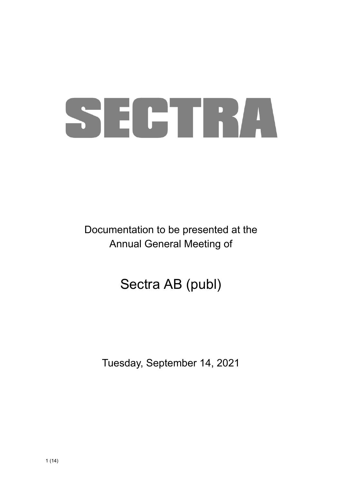# SECTRA

Documentation to be presented at the Annual General Meeting of

## Sectra AB (publ)

Tuesday, September 14, 2021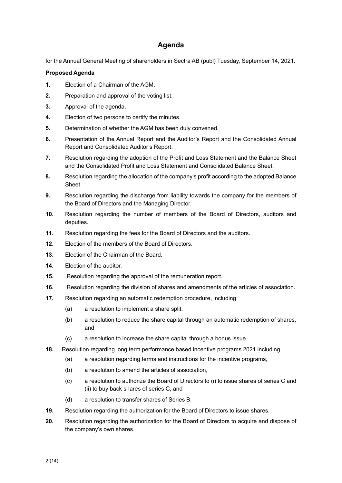#### **Agenda**

for the Annual General Meeting of shareholders in Sectra AB (publ) Tuesday, September 14, 2021.

#### **Proposed Agenda**

- **1.** Election of a Chairman of the AGM.
- **2.** Preparation and approval of the voting list.
- **3.** Approval of the agenda.
- **4.** Election of two persons to certify the minutes.
- **5.** Determination of whether the AGM has been duly convened.
- **6.** Presentation of the Annual Report and the Auditor's Report and the Consolidated Annual Report and Consolidated Auditor's Report.
- **7.** Resolution regarding the adoption of the Profit and Loss Statement and the Balance Sheet and the Consolidated Profit and Loss Statement and Consolidated Balance Sheet.
- **8.** Resolution regarding the allocation of the company's profit according to the adopted Balance Sheet.
- **9.** Resolution regarding the discharge from liability towards the company for the members of the Board of Directors and the Managing Director.
- **10.** Resolution regarding the number of members of the Board of Directors, auditors and deputies.
- **11.** Resolution regarding the fees for the Board of Directors and the auditors.
- **12.** Election of the members of the Board of Directors.
- **13.** Election of the Chairman of the Board.
- **14.** Election of the auditor.
- **15.** Resolution regarding the approval of the remuneration report.
- **16.** Resolution regarding the division of shares and amendments of the articles of association.
- **17.** Resolution regarding an automatic redemption procedure, including
	- (a) a resolution to implement a share split,
	- (b) a resolution to reduce the share capital through an automatic redemption of shares, and
	- (c) a resolution to increase the share capital through a bonus issue.
- **18.** Resolution regarding long term performance based incentive programs 2021 including
	- (a) a resolution regarding terms and instructions for the incentive programs,
	- (b) a resolution to amend the articles of association,
	- (c) a resolution to authorize the Board of Directors to (i) to issue shares of series C and (ii) to buy back shares of series C, and
	- (d) a resolution to transfer shares of Series B.
- **19.** Resolution regarding the authorization for the Board of Directors to issue shares.
- **20.** Resolution regarding the authorization for the Board of Directors to acquire and dispose of the company's own shares.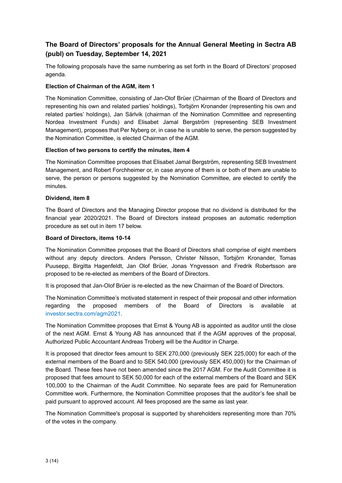#### **The Board of Directors' proposals for the Annual General Meeting in Sectra AB (publ) on Tuesday, September 14, 2021**

The following proposals have the same numbering as set forth in the Board of Directors' proposed agenda.

#### **Election of Chairman of the AGM, item 1**

The Nomination Committee, consisting of Jan-Olof Brüer (Chairman of the Board of Directors and representing his own and related parties' holdings), Torbjörn Kronander (representing his own and related parties' holdings), Jan Särlvik (chairman of the Nomination Committee and representing Nordea Investment Funds) and Elisabet Jamal Bergström (representing SEB Investment Management), proposes that Per Nyberg or, in case he is unable to serve, the person suggested by the Nomination Committee, is elected Chairman of the AGM.

#### **Election of two persons to certify the minutes, item 4**

The Nomination Committee proposes that Elisabet Jamal Bergström, representing SEB Investment Management, and Robert Forchheimer or, in case anyone of them is or both of them are unable to serve, the person or persons suggested by the Nomination Committee, are elected to certify the minutes.

#### **Dividend, item 8**

The Board of Directors and the Managing Director propose that no dividend is distributed for the financial year 2020/2021. The Board of Directors instead proposes an automatic redemption procedure as set out in item 17 below.

#### **Board of Directors, items 10-14**

The Nomination Committee proposes that the Board of Directors shall comprise of eight members without any deputy directors. Anders Persson, Christer Nilsson, Torbjörn Kronander, Tomas Puusepp, Birgitta Hagenfeldt, Jan Olof Brüer, Jonas Yngvesson and Fredrik Robertsson are proposed to be re-elected as members of the Board of Directors.

It is proposed that Jan-Olof Brüer is re-elected as the new Chairman of the Board of Directors.

The Nomination Committee's motivated statement in respect of their proposal and other information regarding the proposed members of the Board of Directors is available at investor.sectra.com/agm2021.

The Nomination Committee proposes that Ernst & Young AB is appointed as auditor until the close of the next AGM. Ernst & Young AB has announced that if the AGM approves of the proposal, Authorized Public Accountant Andreas Troberg will be the Auditor in Charge.

It is proposed that director fees amount to SEK 270,000 (previously SEK 225,000) for each of the external members of the Board and to SEK 540,000 (previously SEK 450,000) for the Chairman of the Board. These fees have not been amended since the 2017 AGM. For the Audit Committee it is proposed that fees amount to SEK 50,000 for each of the external members of the Board and SEK 100,000 to the Chairman of the Audit Committee. No separate fees are paid for Remuneration Committee work. Furthermore, the Nomination Committee proposes that the auditor's fee shall be paid pursuant to approved account. All fees proposed are the same as last year.

The Nomination Committee's proposal is supported by shareholders representing more than 70% of the votes in the company.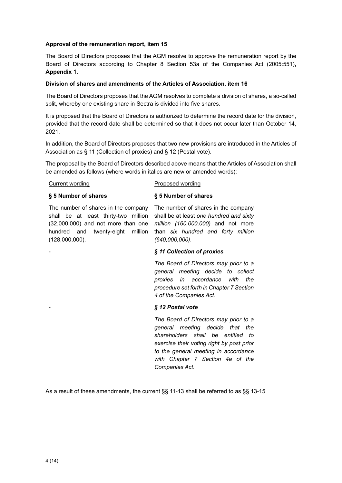#### **Approval of the remuneration report, item 15**

The Board of Directors proposes that the AGM resolve to approve the remuneration report by the Board of Directors according to Chapter 8 Section 53a of the Companies Act (2005:551)**, Appendix 1**.

#### **Division of shares and amendments of the Articles of Association, item 16**

The Board of Directors proposes that the AGM resolves to complete a division of shares, a so-called split, whereby one existing share in Sectra is divided into five shares.

It is proposed that the Board of Directors is authorized to determine the record date for the division, provided that the record date shall be determined so that it does not occur later than October 14, 2021.

In addition, the Board of Directors proposes that two new provisions are introduced in the Articles of Association as § 11 (Collection of proxies) and § 12 (Postal vote).

The proposal by the Board of Directors described above means that the Articles of Association shall be amended as follows (where words in italics are new or amended words):

#### **Current wording Current wording Current wording**

**§ 5 Number of shares** 

#### **§ 5 Number of shares**

The number of shares in the company shall be at least thirty-two million (32,000,000) and not more than one hundred and twenty-eight million (128,000,000).

The number of shares in the company shall be at least *one hundred and sixty million (160,000,000)* and not more than *six hundred and forty million (640,000,000)*.

#### - *§ 11 Collection of proxies*

*The Board of Directors may prior to a general meeting decide to collect proxies in accordance with the procedure set forth in Chapter 7 Section 4 of the Companies Act.* 

#### - *§ 12 Postal vote*

*The Board of Directors may prior to a general meeting decide that the shareholders shall be entitled to exercise their voting right by post prior to the general meeting in accordance with Chapter 7 Section 4a of the Companies Act.*

As a result of these amendments, the current §§ 11-13 shall be referred to as §§ 13-15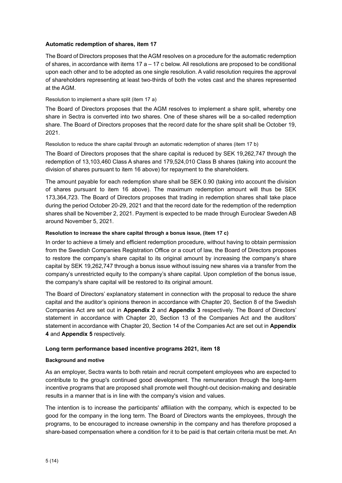#### **Automatic redemption of shares, item 17**

The Board of Directors proposes that the AGM resolves on a procedure for the automatic redemption of shares, in accordance with items  $17 a - 17 c$  below. All resolutions are proposed to be conditional upon each other and to be adopted as one single resolution. A valid resolution requires the approval of shareholders representing at least two-thirds of both the votes cast and the shares represented at the AGM.

#### Resolution to implement a share split (item 17 a)

The Board of Directors proposes that the AGM resolves to implement a share split, whereby one share in Sectra is converted into two shares. One of these shares will be a so-called redemption share. The Board of Directors proposes that the record date for the share split shall be October 19, 2021.

Resolution to reduce the share capital through an automatic redemption of shares (item 17 b)

The Board of Directors proposes that the share capital is reduced by SEK 19,262,747 through the redemption of 13,103,460 Class A shares and 179,524,010 Class B shares (taking into account the division of shares pursuant to item 16 above) for repayment to the shareholders.

The amount payable for each redemption share shall be SEK 0.90 (taking into account the division of shares pursuant to item 16 above). The maximum redemption amount will thus be SEK 173,364,723. The Board of Directors proposes that trading in redemption shares shall take place during the period October 20-29, 2021 and that the record date for the redemption of the redemption shares shall be November 2, 2021. Payment is expected to be made through Euroclear Sweden AB around November 5, 2021.

#### **Resolution to increase the share capital through a bonus issue, (item 17 c)**

In order to achieve a timely and efficient redemption procedure, without having to obtain permission from the Swedish Companies Registration Office or a court of law, the Board of Directors proposes to restore the company's share capital to its original amount by increasing the company's share capital by SEK 19,262,747 through a bonus issue without issuing new shares via a transfer from the company's unrestricted equity to the company's share capital. Upon completion of the bonus issue, the company's share capital will be restored to its original amount.

The Board of Directors' explanatory statement in connection with the proposal to reduce the share capital and the auditor's opinions thereon in accordance with Chapter 20, Section 8 of the Swedish Companies Act are set out in **Appendix 2** and **Appendix 3** respectively. The Board of Directors' statement in accordance with Chapter 20, Section 13 of the Companies Act and the auditors' statement in accordance with Chapter 20, Section 14 of the Companies Act are set out in **Appendix 4** and **Appendix 5** respectively.

#### **Long term performance based incentive programs 2021, item 18**

#### **Background and motive**

As an employer, Sectra wants to both retain and recruit competent employees who are expected to contribute to the group's continued good development. The remuneration through the long-term incentive programs that are proposed shall promote well thought-out decision-making and desirable results in a manner that is in line with the company's vision and values.

The intention is to increase the participants' affiliation with the company, which is expected to be good for the company in the long term. The Board of Directors wants the employees, through the programs, to be encouraged to increase ownership in the company and has therefore proposed a share-based compensation where a condition for it to be paid is that certain criteria must be met. An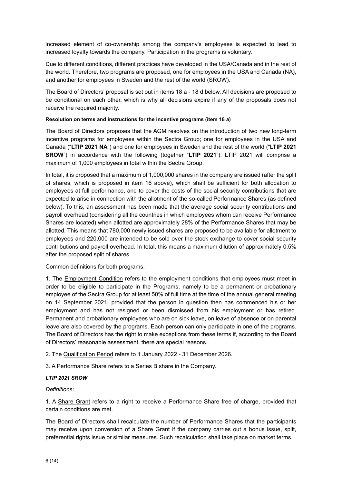increased element of co-ownership among the company's employees is expected to lead to increased loyalty towards the company. Participation in the programs is voluntary.

Due to different conditions, different practices have developed in the USA/Canada and in the rest of the world. Therefore, two programs are proposed, one for employees in the USA and Canada (NA), and another for employees in Sweden and the rest of the world (SROW).

The Board of Directors' proposal is set out in items 18 a - 18 d below. All decisions are proposed to be conditional on each other, which is why all decisions expire if any of the proposals does not receive the required majority.

#### **Resolution on terms and instructions for the incentive programs (item 18 a)**

The Board of Directors proposes that the AGM resolves on the introduction of two new long-term incentive programs for employees within the Sectra Group; one for employees in the USA and Canada ("**LTIP 2021 NA**") and one for employees in Sweden and the rest of the world ("**LTIP 2021 SROW**") in accordance with the following (together "**LTIP 2021**"). LTIP 2021 will comprise a maximum of 1,000 employees in total within the Sectra Group.

In total, it is proposed that a maximum of 1,000,000 shares in the company are issued (after the split of shares, which is proposed in item 16 above), which shall be sufficient for both allocation to employees at full performance, and to cover the costs of the social security contributions that are expected to arise in connection with the allotment of the so-called Performance Shares (as defined below). To this, an assessment has been made that the average social security contributions and payroll overhead (considering all the countries in which employees whom can receive Performance Shares are located) when allotted are approximately 28% of the Performance Shares that may be allotted. This means that 780,000 newly issued shares are proposed to be available for allotment to employees and 220,000 are intended to be sold over the stock exchange to cover social security contributions and payroll overhead. In total, this means a maximum dilution of approximately 0.5% after the proposed split of shares.

#### Common definitions for both programs:

1. The Employment Condition refers to the employment conditions that employees must meet in order to be eligible to participate in the Programs, namely to be a permanent or probationary employee of the Sectra Group for at least 50% of full time at the time of the annual general meeting on 14 September 2021, provided that the person in question then has commenced his or her employment and has not resigned or been dismissed from his employment or has retired. Permanent and probationary employees who are on sick leave, on leave of absence or on parental leave are also covered by the programs. Each person can only participate in one of the programs. The Board of Directors has the right to make exceptions from these terms if, according to the Board of Directors' reasonable assessment, there are special reasons.

2. The Qualification Period refers to 1 January 2022 - 31 December 2026.

3. A Performance Share refers to a Series B share in the Company.

#### *LTIP 2021 SROW*

#### *Definitions*:

1. A Share Grant refers to a right to receive a Performance Share free of charge, provided that certain conditions are met.

The Board of Directors shall recalculate the number of Performance Shares that the participants may receive upon conversion of a Share Grant if the company carries out a bonus issue, split, preferential rights issue or similar measures. Such recalculation shall take place on market terms.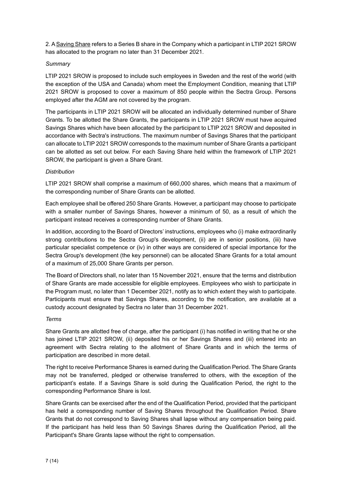2. A Saving Share refers to a Series B share in the Company which a participant in LTIP 2021 SROW has allocated to the program no later than 31 December 2021.

#### *Summary*

LTIP 2021 SROW is proposed to include such employees in Sweden and the rest of the world (with the exception of the USA and Canada) whom meet the Employment Condition, meaning that LTIP 2021 SROW is proposed to cover a maximum of 850 people within the Sectra Group. Persons employed after the AGM are not covered by the program.

The participants in LTIP 2021 SROW will be allocated an individually determined number of Share Grants. To be allotted the Share Grants, the participants in LTIP 2021 SROW must have acquired Savings Shares which have been allocated by the participant to LTIP 2021 SROW and deposited in accordance with Sectra's instructions. The maximum number of Savings Shares that the participant can allocate to LTIP 2021 SROW corresponds to the maximum number of Share Grants a participant can be allotted as set out below. For each Saving Share held within the framework of LTIP 2021 SROW, the participant is given a Share Grant.

#### *Distribution*

LTIP 2021 SROW shall comprise a maximum of 660,000 shares, which means that a maximum of the corresponding number of Share Grants can be allotted.

Each employee shall be offered 250 Share Grants. However, a participant may choose to participate with a smaller number of Savings Shares, however a minimum of 50, as a result of which the participant instead receives a corresponding number of Share Grants.

In addition, according to the Board of Directors' instructions, employees who (i) make extraordinarily strong contributions to the Sectra Group's development, (ii) are in senior positions, (iii) have particular specialist competence or (iv) in other ways are considered of special importance for the Sectra Group's development (the key personnel) can be allocated Share Grants for a total amount of a maximum of 25,000 Share Grants per person.

The Board of Directors shall, no later than 15 November 2021, ensure that the terms and distribution of Share Grants are made accessible for eligible employees. Employees who wish to participate in the Program must, no later than 1 December 2021, notify as to which extent they wish to participate. Participants must ensure that Savings Shares, according to the notification, are available at a custody account designated by Sectra no later than 31 December 2021.

#### *Terms*

Share Grants are allotted free of charge, after the participant (i) has notified in writing that he or she has joined LTIP 2021 SROW, (ii) deposited his or her Savings Shares and (iii) entered into an agreement with Sectra relating to the allotment of Share Grants and in which the terms of participation are described in more detail.

The right to receive Performance Shares is earned during the Qualification Period. The Share Grants may not be transferred, pledged or otherwise transferred to others, with the exception of the participant's estate. If a Savings Share is sold during the Qualification Period, the right to the corresponding Performance Share is lost.

Share Grants can be exercised after the end of the Qualification Period, provided that the participant has held a corresponding number of Saving Shares throughout the Qualification Period. Share Grants that do not correspond to Saving Shares shall lapse without any compensation being paid. If the participant has held less than 50 Savings Shares during the Qualification Period, all the Participant's Share Grants lapse without the right to compensation.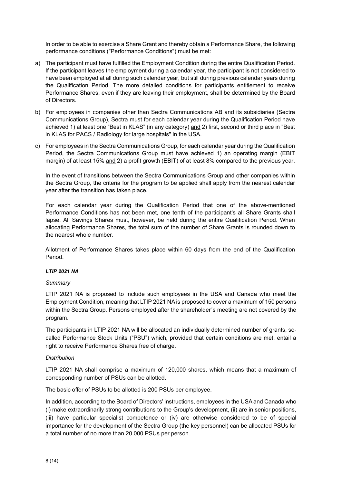In order to be able to exercise a Share Grant and thereby obtain a Performance Share, the following performance conditions ("Performance Conditions") must be met:

- a) The participant must have fulfilled the Employment Condition during the entire Qualification Period. If the participant leaves the employment during a calendar year, the participant is not considered to have been employed at all during such calendar year, but still during previous calendar years during the Qualification Period. The more detailed conditions for participants entitlement to receive Performance Shares, even if they are leaving their employment, shall be determined by the Board of Directors.
- b) For employees in companies other than Sectra Communications AB and its subsidiaries (Sectra Communications Group), Sectra must for each calendar year during the Qualification Period have achieved 1) at least one "Best in KLAS" (in any category) and 2) first, second or third place in "Best in KLAS for PACS / Radiology for large hospitals" in the USA.
- c) For employees in the Sectra Communications Group, for each calendar year during the Qualification Period, the Sectra Communications Group must have achieved 1) an operating margin (EBIT margin) of at least 15% and 2) a profit growth (EBIT) of at least 8% compared to the previous year.

In the event of transitions between the Sectra Communications Group and other companies within the Sectra Group, the criteria for the program to be applied shall apply from the nearest calendar year after the transition has taken place.

For each calendar year during the Qualification Period that one of the above-mentioned Performance Conditions has not been met, one tenth of the participant's all Share Grants shall lapse. All Savings Shares must, however, be held during the entire Qualification Period. When allocating Performance Shares, the total sum of the number of Share Grants is rounded down to the nearest whole number.

Allotment of Performance Shares takes place within 60 days from the end of the Qualification Period.

#### *LTIP 2021 NA*

#### *Summary*

LTIP 2021 NA is proposed to include such employees in the USA and Canada who meet the Employment Condition, meaning that LTIP 2021 NA is proposed to cover a maximum of 150 persons within the Sectra Group. Persons employed after the shareholder´s meeting are not covered by the program.

The participants in LTIP 2021 NA will be allocated an individually determined number of grants, socalled Performance Stock Units ("PSU") which, provided that certain conditions are met, entail a right to receive Performance Shares free of charge.

#### *Distribution*

LTIP 2021 NA shall comprise a maximum of 120,000 shares, which means that a maximum of corresponding number of PSUs can be allotted.

The basic offer of PSUs to be allotted is 200 PSUs per employee.

In addition, according to the Board of Directors' instructions, employees in the USA and Canada who (i) make extraordinarily strong contributions to the Group's development, (ii) are in senior positions, (iii) have particular specialist competence or (iv) are otherwise considered to be of special importance for the development of the Sectra Group (the key personnel) can be allocated PSUs for a total number of no more than 20,000 PSUs per person.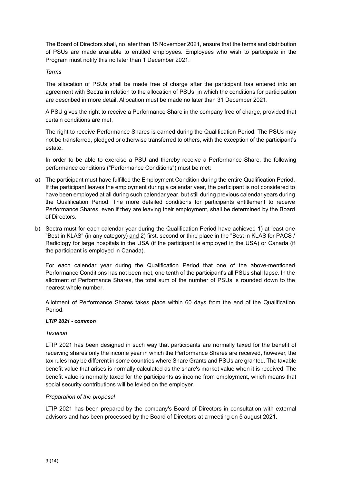The Board of Directors shall, no later than 15 November 2021, ensure that the terms and distribution of PSUs are made available to entitled employees. Employees who wish to participate in the Program must notify this no later than 1 December 2021.

#### *Terms*

The allocation of PSUs shall be made free of charge after the participant has entered into an agreement with Sectra in relation to the allocation of PSUs, in which the conditions for participation are described in more detail. Allocation must be made no later than 31 December 2021.

A PSU gives the right to receive a Performance Share in the company free of charge, provided that certain conditions are met.

The right to receive Performance Shares is earned during the Qualification Period. The PSUs may not be transferred, pledged or otherwise transferred to others, with the exception of the participant's estate.

In order to be able to exercise a PSU and thereby receive a Performance Share, the following performance conditions ("Performance Conditions") must be met:

- a) The participant must have fulfilled the Employment Condition during the entire Qualification Period. If the participant leaves the employment during a calendar year, the participant is not considered to have been employed at all during such calendar year, but still during previous calendar years during the Qualification Period. The more detailed conditions for participants entitlement to receive Performance Shares, even if they are leaving their employment, shall be determined by the Board of Directors.
- b) Sectra must for each calendar year during the Qualification Period have achieved 1) at least one "Best in KLAS" (in any category) and 2) first, second or third place in the "Best in KLAS for PACS / Radiology for large hospitals in the USA (if the participant is employed in the USA) or Canada (if the participant is employed in Canada).

For each calendar year during the Qualification Period that one of the above-mentioned Performance Conditions has not been met, one tenth of the participant's all PSUs shall lapse. In the allotment of Performance Shares, the total sum of the number of PSUs is rounded down to the nearest whole number.

Allotment of Performance Shares takes place within 60 days from the end of the Qualification Period.

#### *LTIP 2021 - common*

#### *Taxation*

LTIP 2021 has been designed in such way that participants are normally taxed for the benefit of receiving shares only the income year in which the Performance Shares are received, however, the tax rules may be different in some countries where Share Grants and PSUs are granted. The taxable benefit value that arises is normally calculated as the share's market value when it is received. The benefit value is normally taxed for the participants as income from employment, which means that social security contributions will be levied on the employer.

#### *Preparation of the proposal*

LTIP 2021 has been prepared by the company's Board of Directors in consultation with external advisors and has been processed by the Board of Directors at a meeting on 5 august 2021.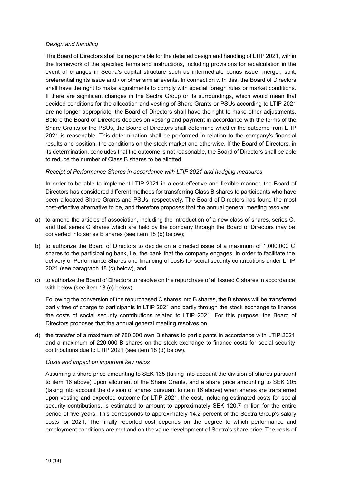#### *Design and handling*

The Board of Directors shall be responsible for the detailed design and handling of LTIP 2021, within the framework of the specified terms and instructions, including provisions for recalculation in the event of changes in Sectra's capital structure such as intermediate bonus issue, merger, split, preferential rights issue and / or other similar events. In connection with this, the Board of Directors shall have the right to make adjustments to comply with special foreign rules or market conditions. If there are significant changes in the Sectra Group or its surroundings, which would mean that decided conditions for the allocation and vesting of Share Grants or PSUs according to LTIP 2021 are no longer appropriate, the Board of Directors shall have the right to make other adjustments. Before the Board of Directors decides on vesting and payment in accordance with the terms of the Share Grants or the PSUs, the Board of Directors shall determine whether the outcome from LTIP 2021 is reasonable. This determination shall be performed in relation to the company's financial results and position, the conditions on the stock market and otherwise. If the Board of Directors, in its determination, concludes that the outcome is not reasonable, the Board of Directors shall be able to reduce the number of Class B shares to be allotted.

#### *Receipt of Performance Shares in accordance with LTIP 2021 and hedging measures*

In order to be able to implement LTIP 2021 in a cost-effective and flexible manner, the Board of Directors has considered different methods for transferring Class B shares to participants who have been allocated Share Grants and PSUs, respectively. The Board of Directors has found the most cost-effective alternative to be, and therefore proposes that the annual general meeting resolves

- a) to amend the articles of association, including the introduction of a new class of shares, series C, and that series C shares which are held by the company through the Board of Directors may be converted into series B shares (see item 18 (b) below);
- b) to authorize the Board of Directors to decide on a directed issue of a maximum of 1,000,000 C shares to the participating bank, i.e. the bank that the company engages, in order to facilitate the delivery of Performance Shares and financing of costs for social security contributions under LTIP 2021 (see paragraph 18 (c) below), and
- c) to authorize the Board of Directors to resolve on the repurchase of all issued C shares in accordance with below (see item 18 (c) below).

Following the conversion of the repurchased C shares into B shares, the B shares will be transferred partly free of charge to participants in LTIP 2021 and partly through the stock exchange to finance the costs of social security contributions related to LTIP 2021. For this purpose, the Board of Directors proposes that the annual general meeting resolves on

d) the transfer of a maximum of 780,000 own B shares to participants in accordance with LTIP 2021 and a maximum of 220,000 B shares on the stock exchange to finance costs for social security contributions due to LTIP 2021 (see item 18 (d) below).

#### *Costs and impact on important key ratios*

Assuming a share price amounting to SEK 135 (taking into account the division of shares pursuant to item 16 above) upon allotment of the Share Grants, and a share price amounting to SEK 205 (taking into account the division of shares pursuant to item 16 above) when shares are transferred upon vesting and expected outcome for LTIP 2021, the cost, including estimated costs for social security contributions, is estimated to amount to approximately SEK 120.7 million for the entire period of five years. This corresponds to approximately 14.2 percent of the Sectra Group's salary costs for 2021. The finally reported cost depends on the degree to which performance and employment conditions are met and on the value development of Sectra's share price. The costs of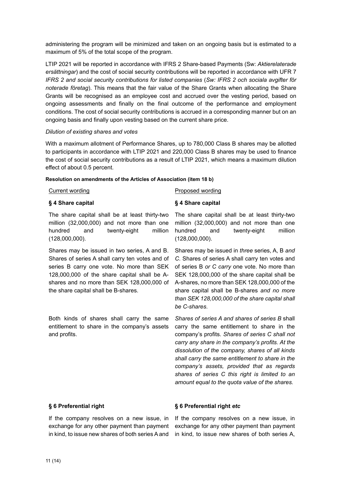administering the program will be minimized and taken on an ongoing basis but is estimated to a maximum of 5% of the total scope of the program.

LTIP 2021 will be reported in accordance with IFRS 2 Share-based Payments (Sw: *Aktierelaterade ersättningar*) and the cost of social security contributions will be reported in accordance with UFR 7 *IFRS 2 and social security contributions for listed companies* (*Sw: IFRS 2 och sociala avgifter för noterade företag*). This means that the fair value of the Share Grants when allocating the Share Grants will be recognised as an employee cost and accrued over the vesting period, based on ongoing assessments and finally on the final outcome of the performance and employment conditions. The cost of social security contributions is accrued in a corresponding manner but on an ongoing basis and finally upon vesting based on the current share price.

#### *Dilution of existing shares and votes*

With a maximum allotment of Performance Shares, up to 780,000 Class B shares may be allotted to participants in accordance with LTIP 2021 and 220,000 Class B shares may be used to finance the cost of social security contributions as a result of LTIP 2021, which means a maximum dilution effect of about 0.5 percent.

#### **Resolution on amendments of the Articles of Association (item 18 b)**

#### Current wording example and the Proposed wording **§ 4 Share capital**  The share capital shall be at least thirty-two **§ 4 Share capital**

million (32,000,000) and not more than one hundred and twenty-eight million (128,000,000).

Shares may be issued in two series, A and B. Shares of series A shall carry ten votes and of series B carry one vote. No more than SEK 128,000,000 of the share capital shall be Ashares and no more than SEK 128,000,000 of the share capital shall be B-shares.

Both kinds of shares shall carry the same entitlement to share in the company's assets and profits.

The share capital shall be at least thirty-two million (32,000,000) and not more than one hundred and twenty-eight million (128,000,000).

Shares may be issued in *three* series, A, B *and C*. Shares of series A shall carry ten votes and of series B *or C carry* one vote. No more than SEK 128,000,000 of the share capital shall be A-shares, no more than SEK 128,000,000 of the share capital shall be B-shares *and no more than SEK 128,000,000 of the share capital shall be C-shares*.

*Shares of series A and shares of series B* shall carry the same entitlement to share in the company's profits. *Shares of series C shall not carry any share in the company's profits. At the dissolution of the company, shares of all kinds shall carry the same entitlement to share in the company's assets, provided that as regards shares of series C this right is limited to an amount equal to the quota value of the shares.* 

#### **§ 6 Preferential right**

If the company resolves on a new issue, in exchange for any other payment than payment in kind, to issue new shares of both series A and

#### **§ 6 Preferential right** *etc*

If the company resolves on a new issue, in exchange for any other payment than payment in kind, to issue new shares of both series A,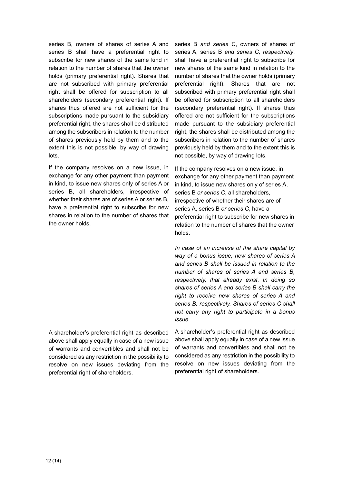series B, owners of shares of series A and series B shall have a preferential right to subscribe for new shares of the same kind in relation to the number of shares that the owner holds (primary preferential right). Shares that are not subscribed with primary preferential right shall be offered for subscription to all shareholders (secondary preferential right). If shares thus offered are not sufficient for the subscriptions made pursuant to the subsidiary preferential right, the shares shall be distributed among the subscribers in relation to the number of shares previously held by them and to the extent this is not possible, by way of drawing lots.

If the company resolves on a new issue, in exchange for any other payment than payment in kind, to issue new shares only of series A or series B, all shareholders, irrespective of whether their shares are of series A or series B, have a preferential right to subscribe for new shares in relation to the number of shares that the owner holds.

A shareholder's preferential right as described above shall apply equally in case of a new issue of warrants and convertibles and shall not be considered as any restriction in the possibility to resolve on new issues deviating from the preferential right of shareholders.

series B *and series C*, owners of shares of series A, series B *and series C, respectively*, shall have a preferential right to subscribe for new shares of the same kind in relation to the number of shares that the owner holds (primary preferential right). Shares that are not subscribed with primary preferential right shall be offered for subscription to all shareholders (secondary preferential right). If shares thus offered are not sufficient for the subscriptions made pursuant to the subsidiary preferential right, the shares shall be distributed among the subscribers in relation to the number of shares previously held by them and to the extent this is not possible, by way of drawing lots.

If the company resolves on a new issue, in exchange for any other payment than payment in kind, to issue new shares only of series A, series B *or series C*, all shareholders, irrespective of whether their shares are of series A, series B *or series C*, have a preferential right to subscribe for new shares in relation to the number of shares that the owner holds.

*In case of an increase of the share capital by way of a bonus issue, new shares of series A and series B shall be issued in relation to the number of shares of series A and series B, respectively, that already exist. In doing so shares of series A and series B shall carry the right to receive new shares of series A and series B, respectively. Shares of series C shall not carry any right to participate in a bonus issue.* 

A shareholder's preferential right as described above shall apply equally in case of a new issue of warrants and convertibles and shall not be considered as any restriction in the possibility to resolve on new issues deviating from the preferential right of shareholders.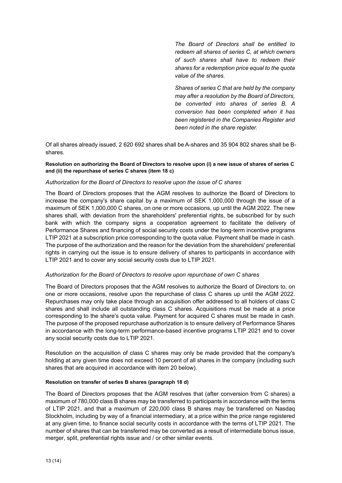*The Board of Directors shall be entitled to redeem all shares of series C, at which owners of such shares shall have to redeem their shares for a redemption price equal to the quota value of the shares.* 

*Shares of series C that are held by the company may after a resolution by the Board of Directors, be converted into shares of series B. A conversion has been completed when it has been registered in the Companies Register and been noted in the share register.*

Of all shares already issued, 2 620 692 shares shall be A-shares and 35 904 802 shares shall be Bshares.

#### **Resolution on authorizing the Board of Directors to resolve upon (i) a new issue of shares of series C and (ii) the repurchase of series C shares (item 18 c)**

#### *Authorization for the Board of Directors to resolve upon the issue of C shares*

The Board of Directors proposes that the AGM resolves to authorize the Board of Directors to increase the company's share capital by a maximum of SEK 1,000,000 through the issue of a maximum of SEK 1,000,000 C shares, on one or more occasions, up until the AGM 2022. The new shares shall, with deviation from the shareholders' preferential rights, be subscribed for by such bank with which the company signs a cooperation agreement to facilitate the delivery of Performance Shares and financing of social security costs under the long-term incentive programs LTIP 2021 at a subscription price corresponding to the quota value. Payment shall be made in cash. The purpose of the authorization and the reason for the deviation from the shareholders' preferential rights in carrying out the issue is to ensure delivery of shares to participants in accordance with LTIP 2021 and to cover any social security costs due to LTIP 2021.

#### *Authorization for the Board of Directors to resolve upon repurchase of own C shares*

The Board of Directors proposes that the AGM resolves to authorize the Board of Directors to, on one or more occasions, resolve upon the repurchase of class C shares up until the AGM 2022. Repurchases may only take place through an acquisition offer addressed to all holders of class C shares and shall include all outstanding class C shares. Acquisitions must be made at a price corresponding to the share's quota value. Payment for acquired C shares must be made in cash. The purpose of the proposed repurchase authorization is to ensure delivery of Performance Shares in accordance with the long-term performance-based incentive programs LTIP 2021 and to cover any social security costs due to LTIP 2021.

Resolution on the acquisition of class C shares may only be made provided that the company's holding at any given time does not exceed 10 percent of all shares in the company (including such shares that are acquired in accordance with item 20 below).

#### **Resolution on transfer of series B shares (paragraph 18 d)**

The Board of Directors proposes that the AGM resolves that (after conversion from C shares) a maximum of 780,000 class B shares may be transferred to participants in accordance with the terms of LTIP 2021, and that a maximum of 220,000 class B shares may be transferred on Nasdaq Stockholm, including by way of a financial intermediary, at a price within the price range registered at any given time, to finance social security costs in accordance with the terms of LTIP 2021. The number of shares that can be transferred may be converted as a result of intermediate bonus issue, merger, split, preferential rights issue and / or other similar events.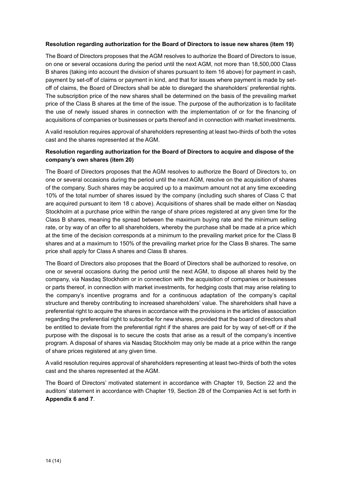#### **Resolution regarding authorization for the Board of Directors to issue new shares (item 19)**

The Board of Directors proposes that the AGM resolves to authorize the Board of Directors to issue, on one or several occasions during the period until the next AGM, not more than 18,500,000 Class B shares (taking into account the division of shares pursuant to item 16 above) for payment in cash, payment by set-off of claims or payment in kind, and that for issues where payment is made by setoff of claims, the Board of Directors shall be able to disregard the shareholders' preferential rights. The subscription price of the new shares shall be determined on the basis of the prevailing market price of the Class B shares at the time of the issue. The purpose of the authorization is to facilitate the use of newly issued shares in connection with the implementation of or for the financing of acquisitions of companies or businesses or parts thereof and in connection with market investments.

A valid resolution requires approval of shareholders representing at least two-thirds of both the votes cast and the shares represented at the AGM.

#### **Resolution regarding authorization for the Board of Directors to acquire and dispose of the company's own shares (item 20)**

The Board of Directors proposes that the AGM resolves to authorize the Board of Directors to, on one or several occasions during the period until the next AGM, resolve on the acquisition of shares of the company. Such shares may be acquired up to a maximum amount not at any time exceeding 10% of the total number of shares issued by the company (including such shares of Class C that are acquired pursuant to item 18 c above). Acquisitions of shares shall be made either on Nasdaq Stockholm at a purchase price within the range of share prices registered at any given time for the Class B shares, meaning the spread between the maximum buying rate and the minimum selling rate, or by way of an offer to all shareholders, whereby the purchase shall be made at a price which at the time of the decision corresponds at a minimum to the prevailing market price for the Class B shares and at a maximum to 150% of the prevailing market price for the Class B shares. The same price shall apply for Class A shares and Class B shares.

The Board of Directors also proposes that the Board of Directors shall be authorized to resolve, on one or several occasions during the period until the next AGM, to dispose all shares held by the company, via Nasdaq Stockholm or in connection with the acquisition of companies or businesses or parts thereof, in connection with market investments, for hedging costs that may arise relating to the company's incentive programs and for a continuous adaptation of the company's capital structure and thereby contributing to increased shareholders' value. The shareholders shall have a preferential right to acquire the shares in accordance with the provisions in the articles of association regarding the preferential right to subscribe for new shares, provided that the board of directors shall be entitled to deviate from the preferential right if the shares are paid for by way of set-off or if the purpose with the disposal is to secure the costs that arise as a result of the company's incentive program. A disposal of shares via Nasdaq Stockholm may only be made at a price within the range of share prices registered at any given time.

A valid resolution requires approval of shareholders representing at least two-thirds of both the votes cast and the shares represented at the AGM.

The Board of Directors' motivated statement in accordance with Chapter 19, Section 22 and the auditors' statement in accordance with Chapter 19, Section 28 of the Companies Act is set forth in **Appendix 6 and 7**.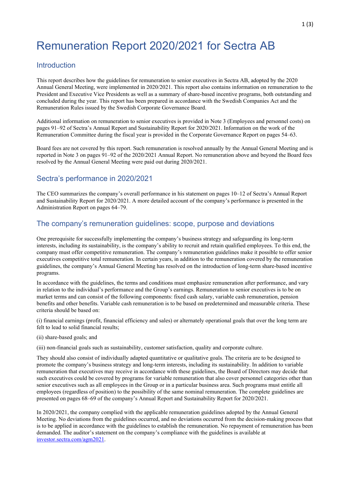## Remuneration Report 2020/2021 for Sectra AB

#### **Introduction**

This report describes how the guidelines for remuneration to senior executives in Sectra AB, adopted by the 2020 Annual General Meeting, were implemented in 2020/2021. This report also contains information on remuneration to the President and Executive Vice Presidents as well as a summary of share-based incentive programs, both outstanding and concluded during the year. This report has been prepared in accordance with the Swedish Companies Act and the Remuneration Rules issued by the Swedish Corporate Governance Board.

Additional information on remuneration to senior executives is provided in Note 3 (Employees and personnel costs) on pages 91–92 of Sectra's Annual Report and Sustainability Report for 2020/2021. Information on the work of the Remuneration Committee during the fiscal year is provided in the Corporate Governance Report on pages 54–63.

Board fees are not covered by this report. Such remuneration is resolved annually by the Annual General Meeting and is reported in Note 3 on pages 91–92 of the 2020/2021 Annual Report. No remuneration above and beyond the Board fees resolved by the Annual General Meeting were paid out during 2020/2021.

#### Sectra's performance in 2020/2021

The CEO summarizes the company's overall performance in his statement on pages 10–12 of Sectra's Annual Report and Sustainability Report for 2020/2021. A more detailed account of the company's performance is presented in the Administration Report on pages 64–79.

#### The company's remuneration guidelines: scope, purpose and deviations

One prerequisite for successfully implementing the company's business strategy and safeguarding its long-term interests, including its sustainability, is the company's ability to recruit and retain qualified employees. To this end, the company must offer competitive remuneration. The company's remuneration guidelines make it possible to offer senior executives competitive total remuneration. In certain years, in addition to the remuneration covered by the remuneration guidelines, the company's Annual General Meeting has resolved on the introduction of long-term share-based incentive programs.

In accordance with the guidelines, the terms and conditions must emphasize remuneration after performance, and vary in relation to the individual's performance and the Group's earnings. Remuneration to senior executives is to be on market terms and can consist of the following components: fixed cash salary, variable cash remuneration, pension benefits and other benefits. Variable cash remuneration is to be based on predetermined and measurable criteria. These criteria should be based on:

(i) financial earnings (profit, financial efficiency and sales) or alternately operational goals that over the long term are felt to lead to solid financial results;

(ii) share-based goals; and

(iii) non-financial goals such as sustainability, customer satisfaction, quality and corporate culture.

They should also consist of individually adapted quantitative or qualitative goals. The criteria are to be designed to promote the company's business strategy and long-term interests, including its sustainability. In addition to variable remuneration that executives may receive in accordance with these guidelines, the Board of Directors may decide that such executives could be covered by programs for variable remuneration that also cover personnel categories other than senior executives such as all employees in the Group or in a particular business area. Such programs must entitle all employees (regardless of position) to the possibility of the same nominal remuneration. The complete guidelines are presented on pages 68–69 of the company's Annual Report and Sustainability Report for 2020/2021.

In 2020/2021, the company complied with the applicable remuneration guidelines adopted by the Annual General Meeting. No deviations from the guidelines occurred, and no deviations occurred from the decision-making process that is to be applied in accordance with the guidelines to establish the remuneration. No repayment of remuneration has been demanded. The auditor's statement on the company's compliance with the guidelines is available at investor.sectra.com/agm2021.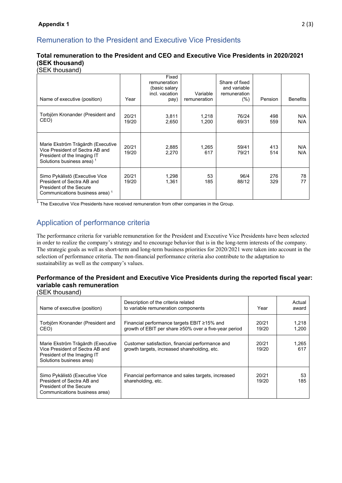#### Remuneration to the President and Executive Vice Presidents

#### **Total remuneration to the President and CEO and Executive Vice Presidents in 2020/2021 (SEK thousand)**

#### (SEK thousand)

| Name of executive (position)                                                                                                                 | Year           | Fixed<br>remuneration<br>(basic salary<br>incl. vacation<br>pay) | Variable<br>remuneration | Share of fixed<br>and variable<br>remuneration<br>(%) | Pension    | <b>Benefits</b> |
|----------------------------------------------------------------------------------------------------------------------------------------------|----------------|------------------------------------------------------------------|--------------------------|-------------------------------------------------------|------------|-----------------|
| Torbjörn Kronander (President and<br>CEO)                                                                                                    | 20/21<br>19/20 | 3,811<br>2,650                                                   | 1,218<br>1,200           | 76/24<br>69/31                                        | 498<br>559 | N/A<br>N/A      |
| Marie Ekström Trägårdh (Executive<br>Vice President of Sectra AB and<br>President of the Imaging IT<br>Solutions business area) <sup>1</sup> | 20/21<br>19/20 | 2,885<br>2,270                                                   | 1,265<br>617             | 59/41<br>79/21                                        | 413<br>514 | N/A<br>N/A      |
| Simo Pykälistö (Executive Vice<br>President of Sectra AB and<br><b>President of the Secure</b><br>Communications business area) <sup>1</sup> | 20/21<br>19/20 | 1,298<br>1,361                                                   | 53<br>185                | 96/4<br>88/12                                         | 276<br>329 | 78<br>77        |

<sup>1</sup> The Executive Vice Presidents have received remuneration from other companies in the Group.

### Application of performance criteria

The performance criteria for variable remuneration for the President and Executive Vice Presidents have been selected in order to realize the company's strategy and to encourage behavior that is in the long-term interests of the company. The strategic goals as well as short-term and long-term business priorities for 2020/2021 were taken into account in the selection of performance criteria. The non-financial performance criteria also contribute to the adaptation to sustainability as well as the company's values.

#### **Performance of the President and Executive Vice Presidents during the reported fiscal year: variable cash remuneration**

(SEK thousand)

| Name of executive (position)                                                                                                    | Description of the criteria related<br>to variable remuneration components                           | Year           | Actual<br>award |
|---------------------------------------------------------------------------------------------------------------------------------|------------------------------------------------------------------------------------------------------|----------------|-----------------|
| Torbjörn Kronander (President and<br>CEO)                                                                                       | Financial performance targets EBIT ≥15% and<br>growth of EBIT per share ≥50% over a five-year period | 20/21<br>19/20 | 1,218<br>1.200  |
| Marie Ekström Trägårdh (Executive<br>Vice President of Sectra AB and<br>President of the Imaging IT<br>Solutions business area) | Customer satisfaction, financial performance and<br>growth targets, increased shareholding, etc.     | 20/21<br>19/20 | 1,265<br>617    |
| Simo Pykälistö (Executive Vice<br>President of Sectra AB and<br>President of the Secure<br>Communications business area)        | Financial performance and sales targets, increased<br>shareholding, etc.                             | 20/21<br>19/20 | 53<br>185       |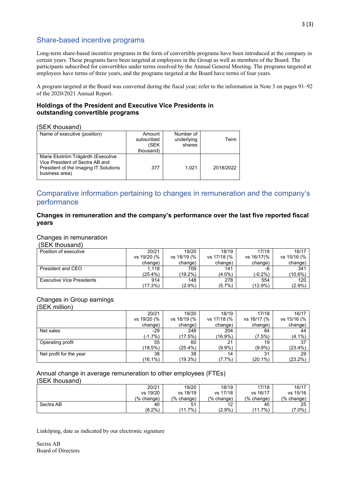#### Share-based incentive programs

Long-term share-based incentive programs in the form of convertible programs have been introduced at the company in certain years. These programs have been targeted at employees in the Group as well as members of the Board. The participants subscribed for convertibles under terms resolved by the Annual General Meeting. The programs targeted at employees have terms of three years, and the programs targeted at the Board have terms of four years.

A program targeted at the Board was converted during the fiscal year; refer to the information in Note 3 on pages 91–92 of the 2020/2021 Annual Report.

#### **Holdings of the President and Executive Vice Presidents in outstanding convertible programs**

#### (SEK thousand)

| Name of executive (position)          | Amount     | Number of  |           |
|---------------------------------------|------------|------------|-----------|
|                                       | subscribed | underlying | Term      |
|                                       | (SEK       | shares     |           |
|                                       | thousand)  |            |           |
| Marie Ekström Trägårdh (Executive     |            |            |           |
| Vice President of Sectra AB and       |            |            |           |
| President of the Imaging IT Solutions | 377        | 1.021      | 2018/2022 |
| business area)                        |            |            |           |
|                                       |            |            |           |

#### Comparative information pertaining to changes in remuneration and the company's performance

#### **Changes in remuneration and the company's performance over the last five reported fiscal years**

#### Changes in remuneration

(SEK thousand)

| Position of executive            | 20/21       | 19/20       | 18/19       | 17/18      | 16/17           |
|----------------------------------|-------------|-------------|-------------|------------|-----------------|
|                                  | vs 19/20 (% | vs 18/19 (% | vs 17/18 (% | vs 16/17(% | vs 15/16 (%     |
|                                  | change)     | change)     | change)     | change)    | change)         |
| President and CEO                | 1.118       | 709         | 141         | -6         | 34 <sup>′</sup> |
|                                  | $(25.4\%)$  | (19.2%)     | (4.0%)      | (-0.2%)    | $(10.6\%)$      |
| <b>Executive Vice Presidents</b> | 914         | 148         | 278         | 554        | 120             |
|                                  | $(17.3\%)$  | $(2.9\%)$   | (5.7%)      | (12.9%)    | (2.9%)          |

#### Changes in Group earnings

(SEK million)

|                         | 20/21       | 19/20       | 18/19       | 17/18       | 16/17       |
|-------------------------|-------------|-------------|-------------|-------------|-------------|
|                         | vs 19/20 (% | vs 18/19 (% | vs 17/18 (% | vs 16/17 (% | vs 15/16 (% |
|                         | change)     | change)     | change)     | change)     | change)     |
| Net sales               | $-29$       | 248         | 204         | 84          | 44          |
|                         | $(-1.7%)$   | (17.5%)     | (16.9%)     | (7.5%)      | $(4.1\%)$   |
| Operating profit        | 55          | 60          | 21          | 19          | 37          |
|                         | (18.5%)     | $(25.4\%)$  | $(9.9\%)$   | $(9.9\%)$   | $(23.4\%)$  |
| Net profit for the year | 38          | 38          | 14          | 31          | 29          |
|                         | (16.1%)     | $(19.3\%)$  | $(7.7\%)$   | $(20.1\%)$  | $(23.2\%)$  |

### Annual change in average remuneration to other employees (FTEs)

(SEK thousand)

|           | 20/21      | 19/20          | 18/19      | 17/18          | 16/17      |
|-----------|------------|----------------|------------|----------------|------------|
|           | vs 19/20   | vs 18/19       | vs 17/18   | vs 16/17       | vs 15/16   |
|           | (% change) | (% change)     | (% change) | $%$ change)    | (% change) |
| Sectra AB | 40         | 5 <sup>1</sup> | 12         | 45             | 25         |
|           | $(8.2\%)$  | $7\%)$<br>11   | $(2.9\%)$  | $7\%$<br>'11.7 | $7.0\%$    |

Linköping, date as indicated by our electronic signature

Sectra AB Board of Directors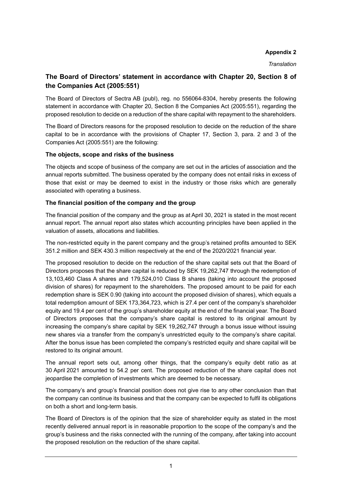#### **Appendix 2**

*Translation* 

#### **The Board of Directors' statement in accordance with Chapter 20, Section 8 of the Companies Act (2005:551)**

The Board of Directors of Sectra AB (publ), reg. no 556064-8304, hereby presents the following statement in accordance with Chapter 20, Section 8 the Companies Act (2005:551), regarding the proposed resolution to decide on a reduction of the share capital with repayment to the shareholders.

The Board of Directors reasons for the proposed resolution to decide on the reduction of the share capital to be in accordance with the provisions of Chapter 17, Section 3, para. 2 and 3 of the Companies Act (2005:551) are the following:

#### **The objects, scope and risks of the business**

The objects and scope of business of the company are set out in the articles of association and the annual reports submitted. The business operated by the company does not entail risks in excess of those that exist or may be deemed to exist in the industry or those risks which are generally associated with operating a business.

#### **The financial position of the company and the group**

The financial position of the company and the group as at April 30, 2021 is stated in the most recent annual report. The annual report also states which accounting principles have been applied in the valuation of assets, allocations and liabilities.

The non-restricted equity in the parent company and the group's retained profits amounted to SEK 351.2 million and SEK 430.3 million respectively at the end of the 2020/2021 financial year.

The proposed resolution to decide on the reduction of the share capital sets out that the Board of Directors proposes that the share capital is reduced by SEK 19,262,747 through the redemption of 13,103,460 Class A shares and 179,524,010 Class B shares (taking into account the proposed division of shares) for repayment to the shareholders. The proposed amount to be paid for each redemption share is SEK 0.90 (taking into account the proposed division of shares), which equals a total redemption amount of SEK 173,364,723, which is 27.4 per cent of the company's shareholder equity and 19.4 per cent of the group's shareholder equity at the end of the financial year. The Board of Directors proposes that the company's share capital is restored to its original amount by increasing the company's share capital by SEK 19,262,747 through a bonus issue without issuing new shares via a transfer from the company's unrestricted equity to the company's share capital. After the bonus issue has been completed the company's restricted equity and share capital will be restored to its original amount.

The annual report sets out, among other things, that the company's equity debt ratio as at 30 April 2021 amounted to 54.2 per cent. The proposed reduction of the share capital does not jeopardise the completion of investments which are deemed to be necessary.

The company's and group's financial position does not give rise to any other conclusion than that the company can continue its business and that the company can be expected to fulfil its obligations on both a short and long-term basis.

The Board of Directors is of the opinion that the size of shareholder equity as stated in the most recently delivered annual report is in reasonable proportion to the scope of the company's and the group's business and the risks connected with the running of the company, after taking into account the proposed resolution on the reduction of the share capital.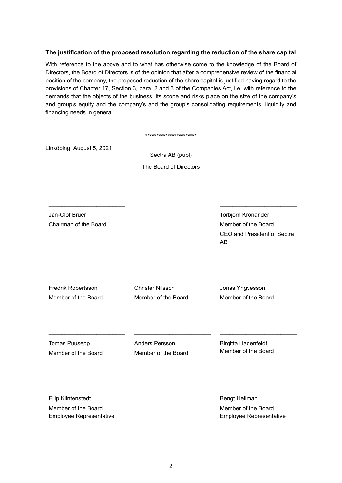#### **The justification of the proposed resolution regarding the reduction of the share capital**

With reference to the above and to what has otherwise come to the knowledge of the Board of Directors, the Board of Directors is of the opinion that after a comprehensive review of the financial position of the company, the proposed reduction of the share capital is justified having regard to the provisions of Chapter 17, Section 3, para. 2 and 3 of the Companies Act, i.e. with reference to the demands that the objects of the business, its scope and risks place on the size of the company's and group's equity and the company's and the group's consolidating requirements, liquidity and financing needs in general.

|                                                                             | ***********************                        |                                                                                |
|-----------------------------------------------------------------------------|------------------------------------------------|--------------------------------------------------------------------------------|
| Linköping, August 5, 2021                                                   | Sectra AB (publ)<br>The Board of Directors     |                                                                                |
| Jan-Olof Brüer<br>Chairman of the Board                                     |                                                | Torbjörn Kronander<br>Member of the Board<br>CEO and President of Sectra<br>AB |
| <b>Fredrik Robertsson</b><br>Member of the Board                            | <b>Christer Nilsson</b><br>Member of the Board | Jonas Yngvesson<br>Member of the Board                                         |
| Tomas Puusepp<br>Member of the Board                                        | <b>Anders Persson</b><br>Member of the Board   | <b>Birgitta Hagenfeldt</b><br>Member of the Board                              |
| <b>Filip Klintenstedt</b><br>Member of the Board<br>Employee Representative |                                                | <b>Bengt Hellman</b><br>Member of the Board<br>Employee Representative         |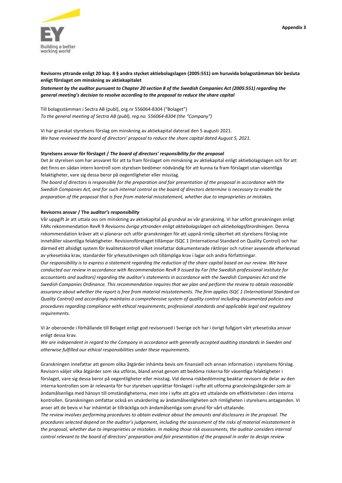

Revisorns yttrande enligt 20 kap. 8 § andra stycket aktiebolagslagen (2005:551) om huruvida bolagsstämman bör besluta **enligt förslaget om minskning av aktiekapitalet**

Statement by the auditor pursuant to Chapter 20 section 8 of the Swedish Companies Act (2005:551) regarding the *general meeting's decision to resolve according to the proposal to reduce the share capital*

Till bolagsstämman i Sectra AB (publ), org.nr 556064‐8304 ("Bolaget") *To the general meeting of Sectra AB (publ), reg.no. 556064‐8304 (the "Company")*

Vi har granskat styrelsens förslag om minskning av aktiekapital daterad den 5 augusti 2021. *We have reviewed the board of directors' proposal to reduce the share capital dated August 5, 2021.*

#### **Styrelsens ansvar för förslaget /** *The board of directors' responsibility for the proposal*

Det är styrelsen som har ansvaret för att ta fram förslaget om minskning av aktiekapital enligt aktiebolagslagen och för att det finns en sådan intern kontroll som styrelsen bedömer nödvändig för att kunna ta fram förslaget utan väsentliga felaktigheter, vare sig dessa beror på oegentligheter eller misstag.

The board of directors is responsible for the preparation and fair presentation of the proposal in accordance with the Swedish Companies Act, and for such internal control as the board of directors determine is necessary to enable the *preparation of the proposal that is free from material misstatement, whether due to improprieties or mistakes.*

#### **Revisorns ansvar / The a***uditor's responsibility*

Vår uppgift är att uttala oss om minskning av aktiekapital på grundval av vår granskning. Vi har utfört granskningen enligt FARs rekommendation RevR 9 *Revisorns övriga yttranden enligt aktiebolagslagen och aktiebolagsförordningen*. Denna rekommendation kräver att vi planerar och utför granskningen för att uppnå rimlig säkerhet att styrelsens förslag inte innehåller väsentliga felaktigheter. Revisionsföretaget tillämpar ISQC 1 (International Standard on Quality Control) och har därmed ett allsidigt system för kvalitetskontroll vilket innefattar dokumenterade riktlinjer och rutiner avseende efterlevnad av yrkesetiska krav, standarder för yrkesutövningen och tillämpliga krav i lagar och andra författningar. Our responsibility is to express a statement regarding the reduction of the share capital based on our review. We have conducted our review in accordance with Recommendation RevR 9 issued by Far (the Swedish professional institute for accountants and auditors) regarding the auditor's statements in accordance with the Swedish Companies Act and the Swedish Companies Ordinance. This recommendation requires that we plan and perform the review to obtain reasonable assurance about whether the report is free from material misstatements. The firm applies ISQC 1 (International Standard on

*Quality Control) and accordingly maintains a comprehensive system of quality control including documented policies and procedures regarding compliance with ethical requirements, professional standards and applicable legal and regulatory requirements.*

Vi är oberoende i förhållande till Bolaget enligt god revisorssed i Sverige och har i övrigt fullgjort vårt yrkesetiska ansvar enligt dessa krav.

We are independent in regard to the Company in accordance with generally accepted auditing standards in Sweden and *otherwise fulfilled our ethical responsibilities under these requirements.*

Granskningen innefattar att genom olika åtgärder inhämta bevis om finansiell och annan information i styrelsens förslag. Revisorn väljer vilka åtgärder som ska utföras, bland annat genom att bedöma riskerna för väsentliga felaktigheter i förslaget, vare sig dessa beror på oegentligheter eller misstag. Vid denna riskbedömning beaktar revisorn de delar av den interna kontrollen som är relevanta för hur styrelsen upprättar förslaget i syfte att utforma granskningsåtgärder som är ändamålsenliga med hänsyn till omständigheterna, men inte i syfte att göra ett uttalande om effektiviteten i den interna kontrollen. Granskningen omfattar också en utvärdering av ändamålsenligheten och rimligheten i styrelsens antaganden. Vi anser att de bevis vi har inhämtat är tillräckliga och ändamålsenliga som grund för vårt uttalande.

The review involves performing procedures to obtain evidence about the amounts and disclosures in the proposal. The procedures selected depend on the auditor's judgement, including the assessment of the risks of material misstatement in the proposal, whether due to improprieties or mistakes. In making those risk assessments, the auditor considers internal control relevant to the board of directors' preparation and fair presentation of the proposal in order to design review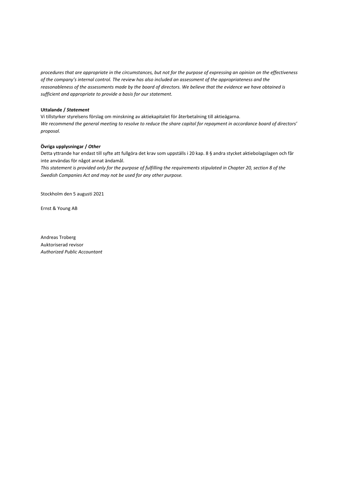procedures that are appropriate in the circumstances, but not for the purpose of expressing an opinion on the effectiveness of the company's internal control. The review has also included an assessment of the appropriateness and the reasonableness of the assessments made by the board of directors. We believe that the evidence we have obtained is *sufficient and appropriate to provide a basis for our statement.*

#### **Uttalande /** *Statement*

Vi tillstyrker styrelsens förslag om minskning av aktiekapitalet för återbetalning till aktieägarna. We recommend the general meeting to resolve to reduce the share capital for repayment in accordance board of directors' *proposal.*

#### **Övriga upplysningar /** *Other*

Detta yttrande har endast till syfte att fullgöra det krav som uppställs i 20 kap. 8 § andra stycket aktiebolagslagen och får inte användas för något annat ändamål.

This statement is provided only for the purpose of fulfilling the requirements stipulated in Chapter 20, section 8 of the *Swedish Companies Act and may not be used for any other purpose.*

Stockholm den 5 augusti 2021

Ernst & Young AB

Andreas Troberg Auktoriserad revisor *Authorized Public Accountant*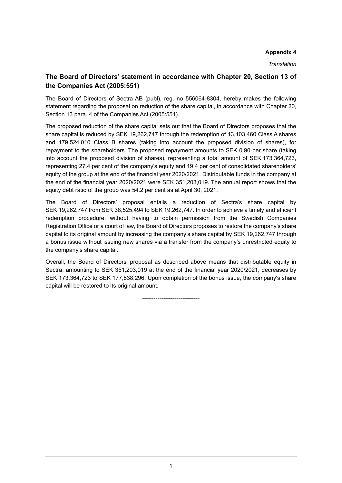#### **Appendix 4**

*Translation* 

#### **The Board of Directors' statement in accordance with Chapter 20, Section 13 of the Companies Act (2005:551)**

The Board of Directors of Sectra AB (publ), reg. no 556064-8304, hereby makes the following statement regarding the proposal on reduction of the share capital, in accordance with Chapter 20, Section 13 para. 4 of the Companies Act (2005:551).

The proposed reduction of the share capital sets out that the Board of Directors proposes that the share capital is reduced by SEK 19,262,747 through the redemption of 13,103,460 Class A shares and 179,524,010 Class B shares (taking into account the proposed division of shares), for repayment to the shareholders. The proposed repayment amounts to SEK 0.90 per share (taking into account the proposed division of shares), representing a total amount of SEK 173,364,723, representing 27.4 per cent of the company's equity and 19.4 per cent of consolidated shareholders' equity of the group at the end of the financial year 2020/2021. Distributable funds in the company at the end of the financial year 2020/2021 were SEK 351,203,019. The annual report shows that the equity debt ratio of the group was 54.2 per cent as at April 30, 2021.

The Board of Directors' proposal entails a reduction of Sectra's share capital by SEK 19,262,747 from SEK 38,525,494 to SEK 19,262,747. In order to achieve a timely and efficient redemption procedure, without having to obtain permission from the Swedish Companies Registration Office or a court of law, the Board of Directors proposes to restore the company's share capital to its original amount by increasing the company's share capital by SEK 19,262,747 through a bonus issue without issuing new shares via a transfer from the company's unrestricted equity to the company's share capital.

Overall, the Board of Directors' proposal as described above means that distributable equity in Sectra, amounting to SEK 351,203,019 at the end of the financial year 2020/2021, decreases by SEK 173,364,723 to SEK 177,838,296. Upon completion of the bonus issue, the company's share capital will be restored to its original amount.

------------------------------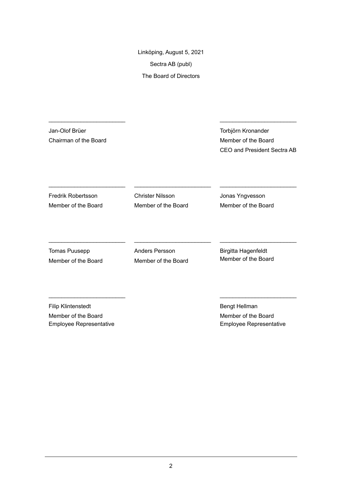Linköping, August 5, 2021 Sectra AB (publ) The Board of Directors

\_\_\_\_\_\_\_\_\_\_\_\_\_\_\_\_\_\_\_\_\_\_\_\_ \_\_\_\_\_\_\_\_\_\_\_\_\_\_\_\_\_\_\_\_\_\_\_\_

\_\_\_\_\_\_\_\_\_\_\_\_\_\_\_\_\_\_\_\_\_\_\_\_ \_\_\_\_\_\_\_\_\_\_\_\_\_\_\_\_\_\_\_\_\_\_\_\_ \_\_\_\_\_\_\_\_\_\_\_\_\_\_\_\_\_\_\_\_\_\_\_\_

Jan-Olof Brüer Chairman of the Board Torbjörn Kronander Member of the Board CEO and President Sectra AB

Fredrik Robertsson Member of the Board Christer Nilsson Member of the Board

Jonas Yngvesson Member of the Board

Tomas Puusepp Member of the Board Anders Persson Member of the Board Birgitta Hagenfeldt Member of the Board

Filip Klintenstedt Member of the Board Employee Representative Bengt Hellman Member of the Board Employee Representative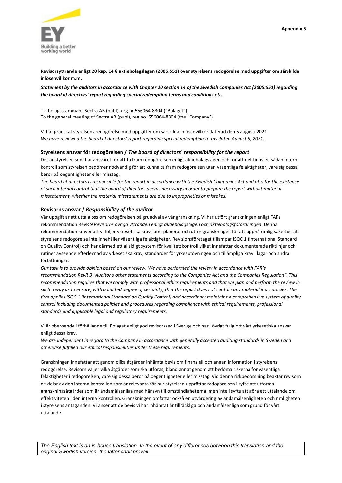

**Revisorsyttrande enligt 20 kap. 14 § aktiebolagslagen (2005:551) över styrelsens redogörelse med uppgifter om särskilda inlösenvillkor m.m.**

Statement by the auditors in accordance with Chapter 20 section 14 of the Swedish Companies Act (2005:551) regarding *the board of directors' report regarding special redemption terms and conditions etc.*

Till bolagsstämman i Sectra AB (publ), org.nr 556064‐8304 ("Bolaget") To the general meeting of Sectra AB (publ), reg.no. 556064‐8304 (the "Company")

Vi har granskat styrelsens redogörelse med uppgifter om särskilda inlösenvillkor daterad den 5 augusti 2021. *We have reviewed the board of directors' report regarding special redemption terms dated August 5, 2021.*

#### **Styrelsens ansvar för redogörelsen /** *The board of directors´ responsibility for the report*

Det är styrelsen som har ansvaret för att ta fram redogörelsen enligt aktiebolagslagen och för att det finns en sådan intern kontroll som styrelsen bedömer nödvändig för att kunna ta fram redogörelsen utan väsentliga felaktigheter, vare sig dessa beror på oegentligheter eller misstag.

The board of directors is responsible for the report in accordance with the Swedish Companies Act and also for the existence of such internal control that the board of directors deems necessary in order to prepare the report without material *misstatement, whether the material misstatements are due to improprieties or mistakes.* 

#### **Revisorns ansvar /** *Responsibility of the auditor*

Vår uppgift är att uttala oss om redogörelsen på grundval av vår granskning. Vi har utfört granskningen enligt FARs rekommendation RevR 9 *Revisorns övriga yttranden enligt aktiebolagslagen och aktiebolagsförordningen*. Denna rekommendation kräver att vi följer yrkesetiska krav samt planerar och utför granskningen för att uppnå rimlig säkerhet att styrelsens redogörelse inte innehåller väsentliga felaktigheter. Revisionsföretaget tillämpar ISQC 1 (International Standard on Quality Control) och har därmed ett allsidigt system för kvalitetskontroll vilket innefattar dokumenterade riktlinjer och rutiner avseende efterlevnad av yrkesetiska krav, standarder för yrkesutövningen och tillämpliga krav i lagar och andra författningar.

Our task is to provide opinion based on our review. We have performed the review in accordance with FAR's recommendation RevR 9 "Auditor's other statements according to the Companies Act and the Companies Regulation". This recommendation requires that we comply with professional ethics requirements and that we plan and perform the review in such a way as to ensure, with a limited degree of certainty, that the report does not contain any material inaccuracies. The firm applies ISQC 1 (International Standard on Quality Control) and accordingly maintains a comprehensive system of quality *control including documented policies and procedures regarding compliance with ethical requirements, professional standards and applicable legal and regulatory requirements.*

Vi är oberoende i förhållande till Bolaget enligt god revisorssed i Sverige och har i övrigt fullgjort vårt yrkesetiska ansvar enligt dessa krav.

We are independent in regard to the Company in accordance with generally accepted auditing standards in Sweden and *otherwise fulfilled our ethical responsibilities under these requirements.*

Granskningen innefattar att genom olika åtgärder inhämta bevis om finansiell och annan information i styrelsens redogörelse. Revisorn väljer vilka åtgärder som ska utföras, bland annat genom att bedöma riskerna för väsentliga felaktigheter i redogörelsen, vare sig dessa beror på oegentligheter eller misstag. Vid denna riskbedömning beaktar revisorn de delar av den interna kontrollen som är relevanta för hur styrelsen upprättar redogörelsen i syfte att utforma granskningsåtgärder som är ändamålsenliga med hänsyn till omständigheterna, men inte i syfte att göra ett uttalande om effektiviteten i den interna kontrollen. Granskningen omfattar också en utvärdering av ändamålsenligheten och rimligheten i styrelsens antaganden. Vi anser att de bevis vi har inhämtat är tillräckliga och ändamålsenliga som grund för vårt uttalande.

*The English text is an in-house translation. In the event of any differences between this translation and the original Swedish version, the latter shall prevail.*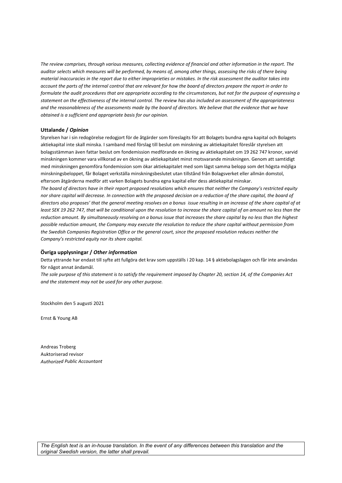The review comprises, through various measures, collecting evidence of financial and other information in the report. The auditor selects which measures will be performed, by means of, among other things, assessing the risks of there being material inaccuracies in the report due to either improprieties or mistakes. In the risk assessment the auditor takes into account the parts of the internal control that are relevant for how the board of directors prepare the report in order to formulate the audit procedures that are appropriate according to the circumstances, but not for the purpose of expressing a statement on the effectiveness of the internal control. The review has also included an assessment of the appropriateness and the reasonableness of the assessments made by the board of directors. We believe that the evidence that we have *obtained is a sufficient and appropriate basis for our opinion.*

#### **Uttalande /** *Opinion*

Styrelsen har i sin redogörelse redogjort för de åtgärder som föreslagits för att Bolagets bundna egna kapital och Bolagets aktiekapital inte skall minska. I samband med förslag till beslut om minskning av aktiekapitalet föreslår styrelsen att bolagsstämman även fattar beslut om fondemission medförande en ökning av aktiekapitalet om 19 262 747 kronor, varvid minskningen kommer vara villkorad av en ökning av aktiekapitalet minst motsvarande minskningen. Genom att samtidigt med minskningen genomföra fondemission som ökar aktiekapitalet med som lägst samma belopp som det högsta möjliga minskningsbeloppet, får Bolaget verkställa minskningsbeslutet utan tillstånd från Bolagsverket eller allmän domstol, eftersom åtgärderna medför att varken Bolagets bundna egna kapital eller dess aktiekapital minskar.

The board of directors have in their report proposed resolutions which ensures that neither the Company's restricted equity nor share capital will decrease. In connection with the proposed decision on a reduction of the share capital, the board of directors also proposes' that the general meeting resolves on a bonus issue resulting in an increase of the share capital of at least SEK 19 262 747, that will be conditional upon the resolution to increase the share capital of an amount no less than the reduction amount. By simultaneously resolving on a bonus issue that increases the share capital by no less than the highest possible reduction amount, the Company may execute the resolution to reduce the share capital without permission from the Swedish Companies Registration Office or the general court, since the proposed resolution reduces neither the *Company's restricted equity nor its share capital.*

#### **Övriga upplysningar /** *Other information*

Detta yttrande har endast till syfte att fullgöra det krav som uppställs i 20 kap. 14 § aktiebolagslagen och får inte användas för något annat ändamål.

The sole purpose of this statement is to satisfy the requirement imposed by Chapter 20, section 14, of the Companies Act *and the statement may not be used for any other purpose.*

Stockholm den 5 augusti 2021

Ernst & Young AB

Andreas Troberg Auktoriserad revisor *Authorized Public Accountant*

*The English text is an in-house translation. In the event of any differences between this translation and the original Swedish version, the latter shall prevail.*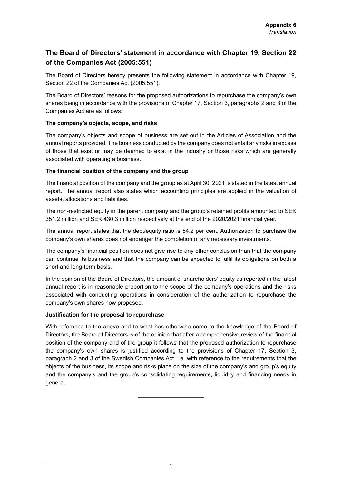#### **The Board of Directors' statement in accordance with Chapter 19, Section 22 of the Companies Act (2005:551)**

The Board of Directors hereby presents the following statement in accordance with Chapter 19, Section 22 of the Companies Act (2005:551).

The Board of Directors' reasons for the proposed authorizations to repurchase the company's own shares being in accordance with the provisions of Chapter 17, Section 3, paragraphs 2 and 3 of the Companies Act are as follows:

#### **The company's objects, scope, and risks**

The company's objects and scope of business are set out in the Articles of Association and the annual reports provided. The business conducted by the company does not entail any risks in excess of those that exist or may be deemed to exist in the industry or those risks which are generally associated with operating a business.

#### **The financial position of the company and the group**

The financial position of the company and the group as at April 30, 2021 is stated in the latest annual report. The annual report also states which accounting principles are applied in the valuation of assets, allocations and liabilities.

The non-restricted equity in the parent company and the group's retained profits amounted to SEK 351.2 million and SEK 430.3 million respectively at the end of the 2020/2021 financial year.

The annual report states that the debt/equity ratio is 54.2 per cent. Authorization to purchase the company's own shares does not endanger the completion of any necessary investments.

The company's financial position does not give rise to any other conclusion than that the company can continue its business and that the company can be expected to fulfil its obligations on both a short and long-term basis.

In the opinion of the Board of Directors, the amount of shareholders' equity as reported in the latest annual report is in reasonable proportion to the scope of the company's operations and the risks associated with conducting operations in consideration of the authorization to repurchase the company's own shares now proposed.

#### **Justification for the proposal to repurchase**

With reference to the above and to what has otherwise come to the knowledge of the Board of Directors, the Board of Directors is of the opinion that after a comprehensive review of the financial position of the company and of the group it follows that the proposed authorization to repurchase the company's own shares is justified according to the provisions of Chapter 17, Section 3, paragraph 2 and 3 of the Swedish Companies Act, i.e. with reference to the requirements that the objects of the business, its scope and risks place on the size of the company's and group's equity and the company's and the group's consolidating requirements, liquidity and financing needs in general.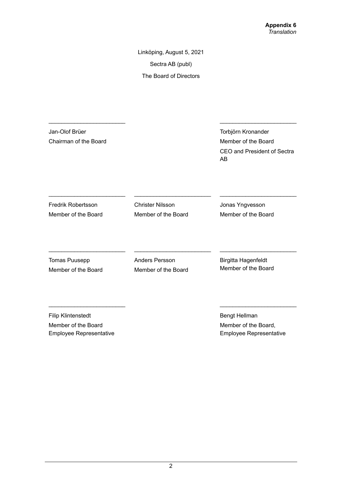Linköping, August 5, 2021 Sectra AB (publ) The Board of Directors

Jan-Olof Brüer Chairman of the Board

Torbjörn Kronander Member of the Board CEO and President of Sectra AB

Fredrik Robertsson Member of the Board Christer Nilsson Member of the Board Jonas Yngvesson Member of the Board

Tomas Puusepp Member of the Board Anders Persson Member of the Board

\_\_\_\_\_\_\_\_\_\_\_\_\_\_\_\_\_\_\_\_\_\_\_\_ \_\_\_\_\_\_\_\_\_\_\_\_\_\_\_\_\_\_\_\_\_\_\_\_ \_\_\_\_\_\_\_\_\_\_\_\_\_\_\_\_\_\_\_\_\_\_\_\_

Birgitta Hagenfeldt Member of the Board

Filip Klintenstedt Member of the Board Employee Representative Bengt Hellman Member of the Board, Employee Representative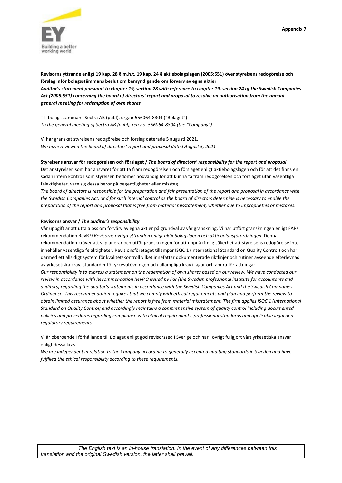

Revisorns yttrande enligt 19 kap. 28 § m.h.t. 19 kap. 24 § aktiebolagslagen (2005:551) över styrelsens redogörelse och **förslag inför bolagsstämmans beslut om bemyndigande om förvärv av egna aktier** Auditor's statement pursuant to chapter 19, section 28 with reference to chapter 19, section 24 of the Swedish Companies Act (2005:551) concerning the board of directors' report and proposal to resolve on authorisation from the annual *general meeting for redemption of own shares*

Till bolagsstämman i Sectra AB (publ), org.nr 556064‐8304 ("Bolaget") *To the general meeting of Sectra AB (publ), reg.no. 556064‐8304 (the "Company")*

Vi har granskat styrelsens redogörelse och förslag daterade 5 augusti 2021. *We have reviewed the board of directors' report and proposal dated August 5, 2021*

#### Styrelsens ansvar för redogörelsen och förslaget / The board of directors' responsibility for the report and proposal

Det är styrelsen som har ansvaret för att ta fram redogörelsen och förslaget enligt aktiebolagslagen och för att det finns en sådan intern kontroll som styrelsen bedömer nödvändig för att kunna ta fram redogörelsen och förslaget utan väsentliga felaktigheter, vare sig dessa beror på oegentligheter eller misstag.

The board of directors is responsible for the preparation and fair presentation of the report and proposal in accordance with the Swedish Companies Act, and for such internal control as the board of directors determine is necessary to enable the preparation of the report and proposal that is free from material misstatement, whether due to improprieties or mistakes.

#### **Revisorns ansvar /** *The auditor's responsibility*

Vår uppgift är att uttala oss om förvärv av egna aktier på grundval av vår granskning. Vi har utfört granskningen enligt FARs rekommendation RevR 9 *Revisorns övriga yttranden enligt aktiebolagslagen och aktiebolagsförordningen*. Denna rekommendation kräver att vi planerar och utför granskningen för att uppnå rimlig säkerhet att styrelsens redogörelse inte innehåller väsentliga felaktigheter. Revisionsföretaget tillämpar ISQC 1 (International Standard on Quality Control) och har därmed ett allsidigt system för kvalitetskontroll vilket innefattar dokumenterade riktlinjer och rutiner avseende efterlevnad av yrkesetiska krav, standarder för yrkesutövningen och tillämpliga krav i lagar och andra författningar. Our responsibility is to express a statement on the redemption of own shares based on our review. We have conducted our review in accordance with Recommendation RevR 9 issued by Far (the Swedish professional institute for accountants and

auditors) regarding the auditor's statements in accordance with the Swedish Companies Act and the Swedish Companies Ordinance. This recommendation requires that we comply with ethical requirements and plan and perform the review to obtain limited assurance about whether the report is free from material misstatement. The firm applies ISQC 1 (International *Standard on Quality Control) and accordingly maintains a comprehensive system of quality control including documented policies and procedures regarding compliance with ethical requirements, professional standards and applicable legal and regulatory requirements.*

Vi är oberoende i förhållande till Bolaget enligt god revisorssed i Sverige och har i övrigt fullgjort vårt yrkesetiska ansvar enligt dessa krav.

We are independent in relation to the Company according to generally accepted auditing standards in Sweden and have *fulfilled the ethical responsibility according to these requirements.*